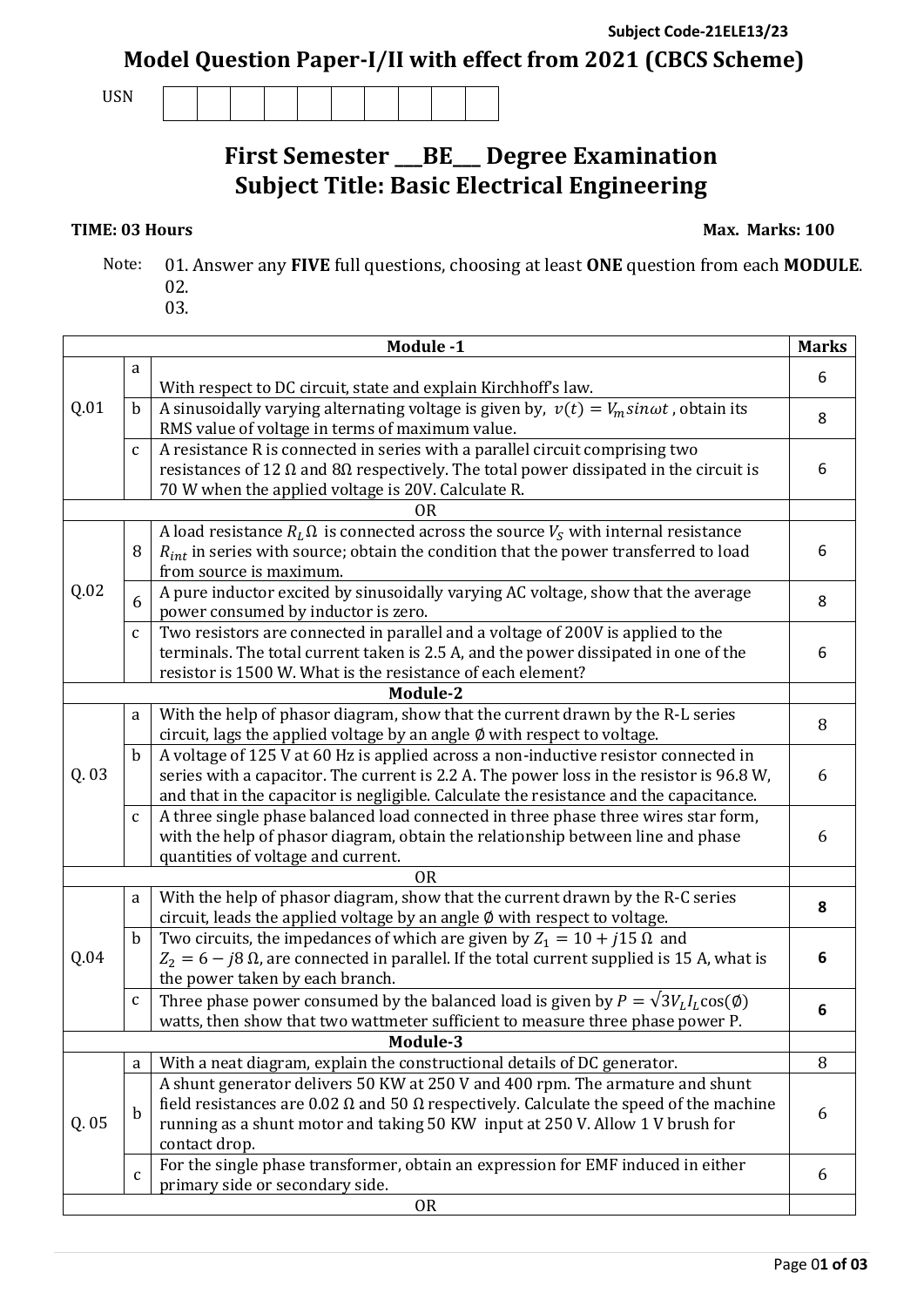**Subject Code-21ELE13/23 Model Question Paper-I/II with effect from 2021 (CBCS Scheme)**

USN

## **First Semester \_\_\_BE\_\_\_ Degree Examination Subject Title: Basic Electrical Engineering**

**TIME: 03 Hours Max. Marks: 100** 

- Note: 01. Answer any **FIVE** full questions, choosing at least **ONE** question from each **MODULE**. 02.
	- 03.

| Module -1                                                                                            |                                                                                              |                                                                                                                        |   |  |  |  |  |
|------------------------------------------------------------------------------------------------------|----------------------------------------------------------------------------------------------|------------------------------------------------------------------------------------------------------------------------|---|--|--|--|--|
|                                                                                                      | a                                                                                            |                                                                                                                        | 6 |  |  |  |  |
|                                                                                                      |                                                                                              | With respect to DC circuit, state and explain Kirchhoff's law.                                                         |   |  |  |  |  |
| Q.01                                                                                                 | $\mathbf b$                                                                                  | A sinusoidally varying alternating voltage is given by, $v(t) = V_m sin \omega t$ , obtain its                         |   |  |  |  |  |
|                                                                                                      |                                                                                              | RMS value of voltage in terms of maximum value.                                                                        | 8 |  |  |  |  |
|                                                                                                      | A resistance R is connected in series with a parallel circuit comprising two<br>$\mathbf{C}$ |                                                                                                                        |   |  |  |  |  |
| resistances of 12 $\Omega$ and 8 $\Omega$ respectively. The total power dissipated in the circuit is |                                                                                              |                                                                                                                        |   |  |  |  |  |
|                                                                                                      | 70 W when the applied voltage is 20V. Calculate R.                                           |                                                                                                                        |   |  |  |  |  |
| <b>OR</b>                                                                                            |                                                                                              |                                                                                                                        |   |  |  |  |  |
|                                                                                                      | 8                                                                                            | A load resistance $R_L\Omega$ is connected across the source $V_S$ with internal resistance                            | 6 |  |  |  |  |
|                                                                                                      |                                                                                              | $R_{int}$ in series with source; obtain the condition that the power transferred to load                               |   |  |  |  |  |
|                                                                                                      |                                                                                              | from source is maximum.                                                                                                |   |  |  |  |  |
| Q.02                                                                                                 | 6                                                                                            | A pure inductor excited by sinusoidally varying AC voltage, show that the average                                      | 8 |  |  |  |  |
|                                                                                                      | $\mathbf{C}$                                                                                 | power consumed by inductor is zero.<br>Two resistors are connected in parallel and a voltage of 200V is applied to the |   |  |  |  |  |
|                                                                                                      |                                                                                              | terminals. The total current taken is 2.5 A, and the power dissipated in one of the                                    | 6 |  |  |  |  |
|                                                                                                      |                                                                                              | resistor is 1500 W. What is the resistance of each element?                                                            |   |  |  |  |  |
|                                                                                                      |                                                                                              | Module-2                                                                                                               |   |  |  |  |  |
|                                                                                                      | a                                                                                            | With the help of phasor diagram, show that the current drawn by the R-L series                                         |   |  |  |  |  |
|                                                                                                      |                                                                                              | circuit, lags the applied voltage by an angle Ø with respect to voltage.                                               | 8 |  |  |  |  |
| Q. 03                                                                                                | $\mathbf b$                                                                                  | A voltage of 125 V at 60 Hz is applied across a non-inductive resistor connected in                                    |   |  |  |  |  |
|                                                                                                      |                                                                                              | series with a capacitor. The current is 2.2 A. The power loss in the resistor is 96.8 W,                               | 6 |  |  |  |  |
|                                                                                                      |                                                                                              | and that in the capacitor is negligible. Calculate the resistance and the capacitance.                                 |   |  |  |  |  |
|                                                                                                      | $\mathsf{C}$                                                                                 | A three single phase balanced load connected in three phase three wires star form,                                     |   |  |  |  |  |
|                                                                                                      |                                                                                              | with the help of phasor diagram, obtain the relationship between line and phase                                        | 6 |  |  |  |  |
|                                                                                                      |                                                                                              | quantities of voltage and current.                                                                                     |   |  |  |  |  |
|                                                                                                      |                                                                                              | <b>OR</b>                                                                                                              |   |  |  |  |  |
|                                                                                                      | a                                                                                            | With the help of phasor diagram, show that the current drawn by the R-C series                                         | 8 |  |  |  |  |
|                                                                                                      |                                                                                              | circuit, leads the applied voltage by an angle Ø with respect to voltage.                                              |   |  |  |  |  |
|                                                                                                      | $\mathbf b$                                                                                  | Two circuits, the impedances of which are given by $Z_1 = 10 + j15 \Omega$ and                                         |   |  |  |  |  |
| Q.04                                                                                                 | $Z_2$ = 6 – j8 Ω, are connected in parallel. If the total current supplied is 15 A, what is  |                                                                                                                        | 6 |  |  |  |  |
|                                                                                                      | the power taken by each branch.                                                              |                                                                                                                        |   |  |  |  |  |
|                                                                                                      | $\mathbf{C}$                                                                                 | Three phase power consumed by the balanced load is given by $P = \sqrt{3}V_L I_L \cos(\phi)$                           | 6 |  |  |  |  |
|                                                                                                      |                                                                                              | watts, then show that two wattmeter sufficient to measure three phase power P.                                         |   |  |  |  |  |
|                                                                                                      |                                                                                              | Module-3                                                                                                               |   |  |  |  |  |
|                                                                                                      | a                                                                                            | With a neat diagram, explain the constructional details of DC generator.                                               | 8 |  |  |  |  |
|                                                                                                      | $\mathbf b$                                                                                  | A shunt generator delivers 50 KW at 250 V and 400 rpm. The armature and shunt                                          |   |  |  |  |  |
| Q. 05                                                                                                |                                                                                              | field resistances are 0.02 $\Omega$ and 50 $\Omega$ respectively. Calculate the speed of the machine                   |   |  |  |  |  |
|                                                                                                      |                                                                                              | running as a shunt motor and taking 50 KW input at 250 V. Allow 1 V brush for                                          |   |  |  |  |  |
|                                                                                                      |                                                                                              | contact drop.                                                                                                          |   |  |  |  |  |
|                                                                                                      | $\mathbf{C}$                                                                                 | For the single phase transformer, obtain an expression for EMF induced in either                                       | 6 |  |  |  |  |
|                                                                                                      |                                                                                              | primary side or secondary side.                                                                                        |   |  |  |  |  |
| <b>OR</b>                                                                                            |                                                                                              |                                                                                                                        |   |  |  |  |  |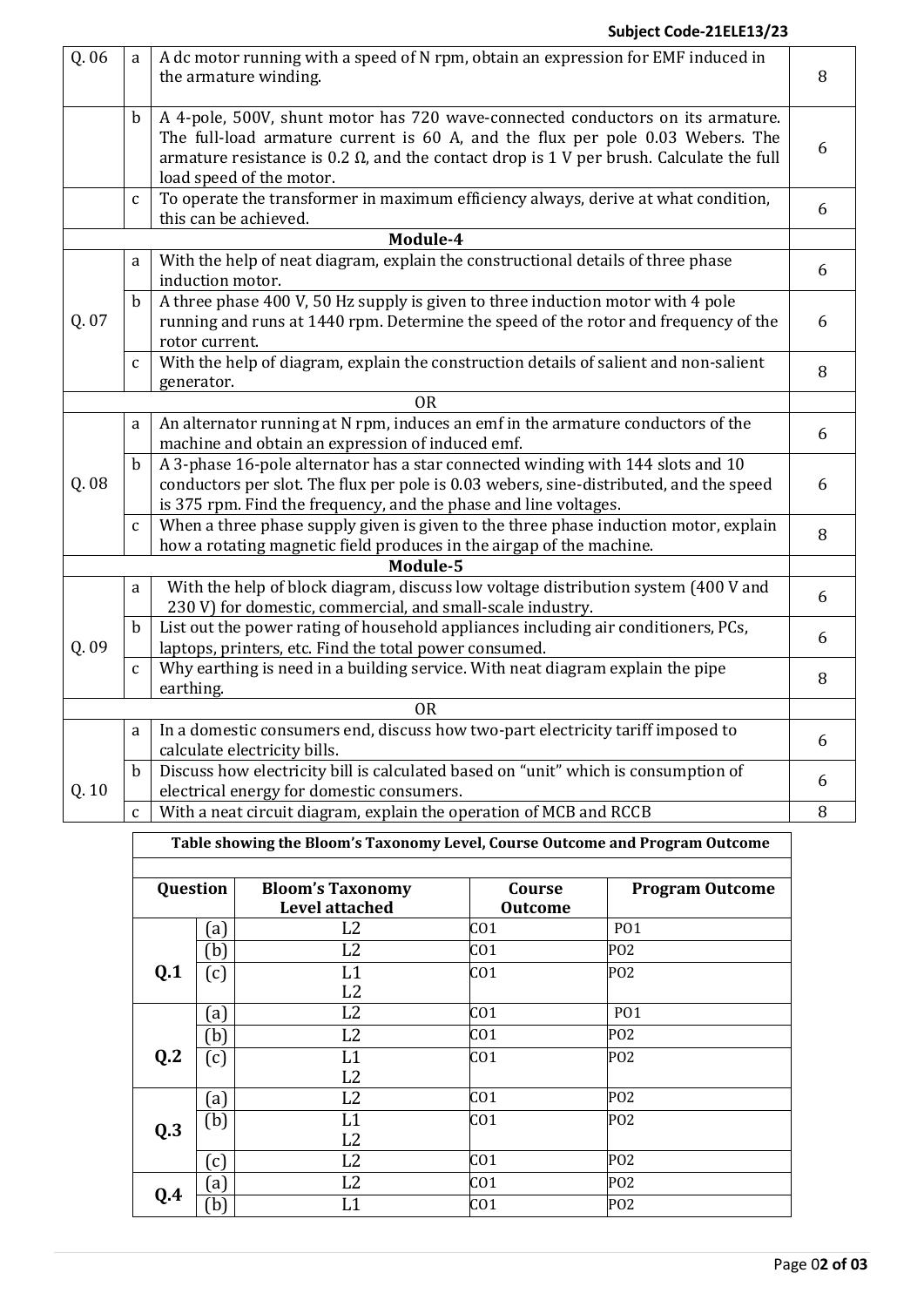## **Subject Code-21ELE13/23**

| Q. 06 | a                                                                                                                | A dc motor running with a speed of N rpm, obtain an expression for EMF induced in<br>the armature winding.                                                                                                                                                                                      | 8      |  |  |  |
|-------|------------------------------------------------------------------------------------------------------------------|-------------------------------------------------------------------------------------------------------------------------------------------------------------------------------------------------------------------------------------------------------------------------------------------------|--------|--|--|--|
|       | $\mathbf b$                                                                                                      | A 4-pole, 500V, shunt motor has 720 wave-connected conductors on its armature.<br>The full-load armature current is 60 A, and the flux per pole 0.03 Webers. The<br>armature resistance is 0.2 $\Omega$ , and the contact drop is 1 V per brush. Calculate the full<br>load speed of the motor. | 6      |  |  |  |
|       | $\mathsf C$                                                                                                      | To operate the transformer in maximum efficiency always, derive at what condition,<br>this can be achieved.                                                                                                                                                                                     | 6      |  |  |  |
|       |                                                                                                                  | Module-4                                                                                                                                                                                                                                                                                        |        |  |  |  |
|       | a                                                                                                                | With the help of neat diagram, explain the constructional details of three phase<br>induction motor.                                                                                                                                                                                            | 6      |  |  |  |
| Q. 07 | $\mathbf b$                                                                                                      | A three phase 400 V, 50 Hz supply is given to three induction motor with 4 pole<br>running and runs at 1440 rpm. Determine the speed of the rotor and frequency of the<br>rotor current.                                                                                                        | 6      |  |  |  |
|       | $\mathbf{C}$                                                                                                     | With the help of diagram, explain the construction details of salient and non-salient                                                                                                                                                                                                           | 8      |  |  |  |
|       | generator.<br><b>OR</b><br>An alternator running at N rpm, induces an emf in the armature conductors of the<br>a |                                                                                                                                                                                                                                                                                                 |        |  |  |  |
|       |                                                                                                                  | machine and obtain an expression of induced emf.                                                                                                                                                                                                                                                | 6      |  |  |  |
| Q. 08 | $\mathbf b$                                                                                                      | A 3-phase 16-pole alternator has a star connected winding with 144 slots and 10<br>conductors per slot. The flux per pole is 0.03 webers, sine-distributed, and the speed<br>is 375 rpm. Find the frequency, and the phase and line voltages.                                                   | 6      |  |  |  |
|       | $\mathbf{C}$                                                                                                     | When a three phase supply given is given to the three phase induction motor, explain<br>how a rotating magnetic field produces in the airgap of the machine.                                                                                                                                    | 8      |  |  |  |
|       |                                                                                                                  | Module-5                                                                                                                                                                                                                                                                                        |        |  |  |  |
|       | a                                                                                                                | With the help of block diagram, discuss low voltage distribution system (400 V and<br>230 V) for domestic, commercial, and small-scale industry.                                                                                                                                                | 6      |  |  |  |
| Q. 09 | b                                                                                                                | List out the power rating of household appliances including air conditioners, PCs,<br>laptops, printers, etc. Find the total power consumed.                                                                                                                                                    | 6      |  |  |  |
|       | $\mathbf{C}$                                                                                                     | Why earthing is need in a building service. With neat diagram explain the pipe<br>earthing.                                                                                                                                                                                                     | 8      |  |  |  |
|       |                                                                                                                  | <b>OR</b>                                                                                                                                                                                                                                                                                       |        |  |  |  |
|       | a                                                                                                                | In a domestic consumers end, discuss how two-part electricity tariff imposed to<br>calculate electricity bills.                                                                                                                                                                                 | 6      |  |  |  |
| Q. 10 | $\mathbf b$                                                                                                      | Discuss how electricity bill is calculated based on "unit" which is consumption of<br>electrical energy for domestic consumers.                                                                                                                                                                 | 6      |  |  |  |
|       | $\mathbf{C}$                                                                                                     | With a neat circuit diagram, explain the operation of MCB and RCCB                                                                                                                                                                                                                              | $\, 8$ |  |  |  |

**Table showing the Bloom's Taxonomy Level, Course Outcome and Program Outcome**

| Question       |                   | <b>Bloom's Taxonomy</b><br><b>Level attached</b> | Course<br><b>Outcome</b> | <b>Program Outcome</b> |
|----------------|-------------------|--------------------------------------------------|--------------------------|------------------------|
|                | $\left[ a\right]$ | L <sub>2</sub>                                   | CO <sub>1</sub>          | <b>PO1</b>             |
|                | b)                | L <sub>2</sub>                                   | CO <sub>1</sub>          | PO <sub>2</sub>        |
| Q.1            | $\left[ c\right]$ | L1                                               | CO <sub>1</sub>          | PO <sub>2</sub>        |
|                |                   | L2                                               |                          |                        |
|                | $\left[ a\right]$ | L2                                               | CO <sub>1</sub>          | <b>PO1</b>             |
|                | b)                | L2                                               | CO <sub>1</sub>          | PO <sub>2</sub>        |
| Q <sub>2</sub> | $\left[ c\right]$ | L1                                               | CO <sub>1</sub>          | P <sub>02</sub>        |
|                |                   | L2                                               |                          |                        |
|                | $\left[ a\right]$ | L2                                               | CO <sub>1</sub>          | PO <sub>2</sub>        |
| Q.3            | (b)               | L1                                               | CO <sub>1</sub>          | PO <sub>2</sub>        |
|                |                   | L2                                               |                          |                        |
|                | $\epsilon$ )      | L2                                               | CO <sub>1</sub>          | PO <sub>2</sub>        |
|                | [a]               | L <sub>2</sub>                                   | CO <sub>1</sub>          | PO <sub>2</sub>        |
| Q.4            | b)                |                                                  | CO <sub>1</sub>          | PO <sub>2</sub>        |